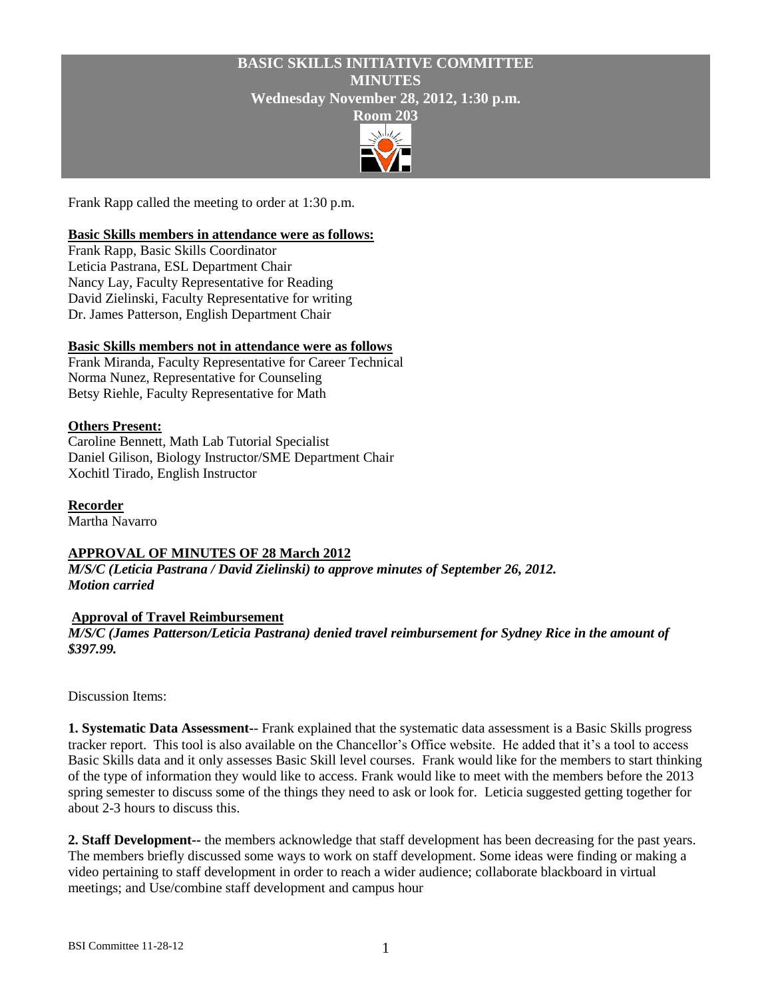# **BASIC SKILLS INITIATIVE COMMITTEE MINUTES Wednesday November 28, 2012, 1:30 p.m.**



Frank Rapp called the meeting to order at 1:30 p.m.

#### **Basic Skills members in attendance were as follows:**

Frank Rapp, Basic Skills Coordinator Leticia Pastrana, ESL Department Chair Nancy Lay, Faculty Representative for Reading David Zielinski, Faculty Representative for writing Dr. James Patterson, English Department Chair

## **Basic Skills members not in attendance were as follows**

Frank Miranda, Faculty Representative for Career Technical Norma Nunez, Representative for Counseling Betsy Riehle, Faculty Representative for Math

#### **Others Present:**

Caroline Bennett, Math Lab Tutorial Specialist Daniel Gilison, Biology Instructor/SME Department Chair Xochitl Tirado, English Instructor

**Recorder**

Martha Navarro

## **APPROVAL OF MINUTES OF 28 March 2012**

*M/S/C (Leticia Pastrana / David Zielinski) to approve minutes of September 26, 2012. Motion carried*

#### **Approval of Travel Reimbursement**

*M/S/C (James Patterson/Leticia Pastrana) denied travel reimbursement for Sydney Rice in the amount of \$397.99.*

Discussion Items:

**1. Systematic Data Assessment-**- Frank explained that the systematic data assessment is a Basic Skills progress tracker report. This tool is also available on the Chancellor's Office website. He added that it's a tool to access Basic Skills data and it only assesses Basic Skill level courses. Frank would like for the members to start thinking of the type of information they would like to access. Frank would like to meet with the members before the 2013 spring semester to discuss some of the things they need to ask or look for. Leticia suggested getting together for about 2-3 hours to discuss this.

**2. Staff Development--** the members acknowledge that staff development has been decreasing for the past years. The members briefly discussed some ways to work on staff development. Some ideas were finding or making a video pertaining to staff development in order to reach a wider audience; collaborate blackboard in virtual meetings; and Use/combine staff development and campus hour